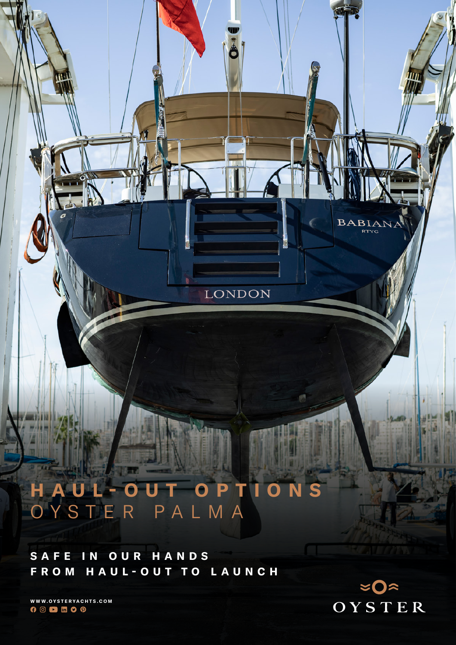# LONDON

# **HAUL-OUT OPTIONS** OYSTER PALMA

**SAFE IN OUR HANDS FROM HAUL-OUT TO LAUNCH**

**WWW.OYSTERYACHTS.COM**  $0 0 1 1 0 0$ 



**BABIANA RTYC**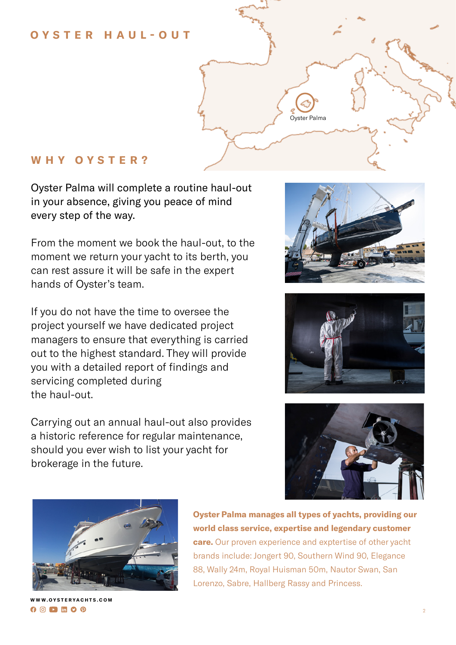#### **OYSTER HAUL-OUT**



#### **W H Y O Y S T E R ?**

Oyster Palma will complete a routine haul-out in your absence, giving you peace of mind every step of the way.

From the moment we book the haul-out, to the moment we return your yacht to its berth, you can rest assure it will be safe in the expert hands of Oyster's team.

If you do not have the time to oversee the project yourself we have dedicated project managers to ensure that everything is carried out to the highest standard. They will provide you with a detailed report of findings and servicing completed during the haul-out.

Carrying out an annual haul-out also provides a historic reference for regular maintenance, should you ever wish to list your yacht for brokerage in the future.









**Oyster Palma manages all types of yachts, providing our world class service, expertise and legendary customer care.** Our proven experience and exptertise of other yacht brands include: Jongert 90, Southern Wind 90, Elegance 88, Wally 24m, Royal Huisman 50m, Nautor Swan, San Lorenzo, Sabre, Hallberg Rassy and Princess.